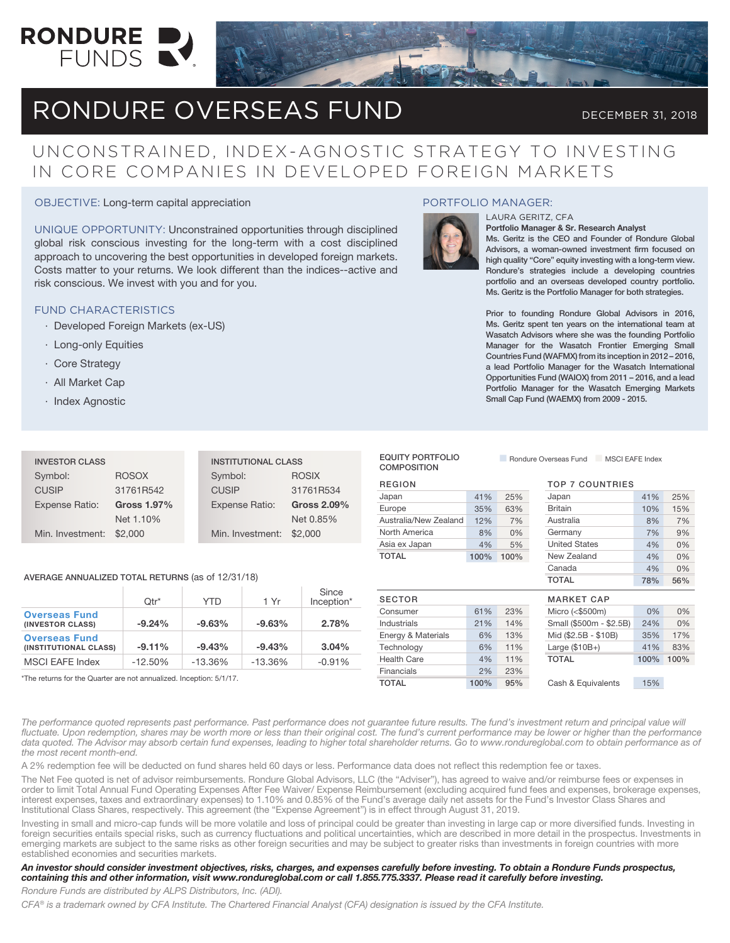

# RONDURE OVERSEAS FUND DECEMBER 31, 2018

## UNCONSTRAINED, INDEX-AGNOSTIC STRATEGY TO INVESTING IN CORE COMPANIES IN DEVELOPED FOREIGN MARKETS

OBJECTIVE: Long-term capital appreciation

UNIQUE OPPORTUNITY: Unconstrained opportunities through disciplined global risk conscious investing for the long-term with a cost disciplined approach to uncovering the best opportunities in developed foreign markets. Costs matter to your returns. We look different than the indices--active and risk conscious. We invest with you and for you.

### FUND CHARACTERISTICS

- · Developed Foreign Markets (ex-US)
- · Long-only Equities
- · Core Strategy
- · All Market Cap
- · Index Agnostic

### PORTFOLIO MANAGER:



### Portfolio Manager & Sr. Research Analyst

LAURA GERITZ, CFA

Ms. Geritz is the CEO and Founder of Rondure Global Advisors, a woman-owned investment firm focused on high quality "Core" equity investing with a long-term view. Rondure's strategies include a developing countries portfolio and an overseas developed country portfolio. Ms. Geritz is the Portfolio Manager for both strategies.

Prior to founding Rondure Global Advisors in 2016, Ms. Geritz spent ten years on the international team at Wasatch Advisors where she was the founding Portfolio Manager for the Wasatch Frontier Emerging Small Countries Fund (WAFMX) from its inception in 2012 – 2016, a lead Portfolio Manager for the Wasatch International Opportunities Fund (WAIOX) from 2011 – 2016, and a lead Portfolio Manager for the Wasatch Emerging Markets Small Cap Fund (WAEMX) from 2009 - 2015.

n Rondure Overseas Fund MSCI EAFE Index

United States 4% 0% New Zealand 4% 0% Canada 4% 0% TOTAL 78% 56%

| <b>INVESTOR CLASS</b> |              | <b>INSTITUTIONAL CLASS</b> |              |
|-----------------------|--------------|----------------------------|--------------|
| Symbol:               | <b>ROSOX</b> | Symbol:                    | <b>ROSIX</b> |
| <b>CUSIP</b>          | 31761R542    | <b>CUSIP</b>               | 31761R534    |
| <b>Expense Ratio:</b> | Gross 1.97%  | <b>Expense Ratio:</b>      | Gross 2.09%  |
|                       | Net 1.10%    |                            | Net 0.85%    |
| Min. Investment:      | \$2,000      | Min. Investment:           | \$2,000      |

### AVERAGE ANNUALIZED TOTAL RETURNS (as of 12/31/18)

|                                               | $Qtr^*$    | <b>YTD</b> | 1 Yr       | Since<br>Inception* |
|-----------------------------------------------|------------|------------|------------|---------------------|
| <b>Overseas Fund</b><br>(INVESTOR CLASS)      | $-9.24%$   | $-9.63%$   | $-9.63%$   | 2.78%               |
| <b>Overseas Fund</b><br>(INSTITUTIONAL CLASS) | $-9.11%$   | $-9.43%$   | $-9.43%$   | 3.04%               |
| <b>MSCI EAFE Index</b>                        | $-12.50\%$ | $-13.36\%$ | $-13.36\%$ | $-0.91%$            |

\*The returns for the Quarter are not annualized. Inception: 5/1/17.

### EQUITY PORTFOLIO COMPOSITION

| <b>REGION</b>         |      |      | <b>TOP 7 COUNTRIES</b> |     |     |
|-----------------------|------|------|------------------------|-----|-----|
| Japan                 | 41%  | 25%  | Japan                  | 41% | 25% |
| Europe                | 35%  | 63%  | <b>Britain</b>         | 10% | 15% |
| Australia/New Zealand | 12%  | 7%   | Australia              | 8%  | 7%  |
| North America         | 8%   | 0%   | Germany                | 7%  | 9%  |
| Asia ex Japan         | 4%   | 5%   | <b>United States</b>   | 4%  | 0%  |
| <b>TOTAL</b>          | 100% | 100% | New Zealand            | 4%  | 0%  |

| SECTOR             |      |     | <b>MARKET CAP</b>       |      |      |
|--------------------|------|-----|-------------------------|------|------|
| Consumer           | 61%  | 23% | Micro (<\$500m)         | 0%   | 0%   |
| Industrials        | 21%  | 14% | Small (\$500m - \$2.5B) | 24%  | 0%   |
| Energy & Materials | 6%   | 13% | Mid (\$2.5B - \$10B)    | 35%  | 17%  |
| Technology         | 6%   | 11% | Large $($10B+)$         | 41%  | 83%  |
| <b>Health Care</b> | 4%   | 11% | <b>TOTAL</b>            | 100% | 100% |
| Financials         | 2%   | 23% |                         |      |      |
| TOTAL              | 100% | 95% | Cash & Equivalents      | 15%  |      |

The performance quoted represents past performance. Past performance does not guarantee future results. The fund's investment return and principal value will fluctuate. Upon redemption, shares may be worth more or less than their original cost. The fund's current performance may be lower or higher than the performance data quoted. The Advisor may absorb certain fund expenses, leading to higher total shareholder returns. Go to www.rondureglobal.com to obtain performance as of *the most recent month-end.*

A 2% redemption fee will be deducted on fund shares held 60 days or less. Performance data does not reflect this redemption fee or taxes.

The Net Fee quoted is net of advisor reimbursements. Rondure Global Advisors, LLC (the "Adviser"), has agreed to waive and/or reimburse fees or expenses in order to limit Total Annual Fund Operating Expenses After Fee Waiver/ Expense Reimbursement (excluding acquired fund fees and expenses, brokerage expenses, interest expenses, taxes and extraordinary expenses) to 1.10% and 0.85% of the Fund's average daily net assets for the Fund's Investor Class Shares and Institutional Class Shares, respectively. This agreement (the "Expense Agreement") is in effect through August 31, 2019.

Investing in small and micro-cap funds will be more volatile and loss of principal could be greater than investing in large cap or more diversified funds. Investing in foreign securities entails special risks, such as currency fluctuations and political uncertainties, which are described in more detail in the prospectus. Investments in emerging markets are subject to the same risks as other foreign securities and may be subject to greater risks than investments in foreign countries with more established economies and securities markets.

### *An investor should consider investment objectives, risks, charges, and expenses carefully before investing. To obtain a Rondure Funds prospectus, containing this and other information, visit www.rondureglobal.com or call 1.855.775.3337. Please read it carefully before investing.*

*Rondure Funds are distributed by ALPS Distributors, Inc. (ADI).*

*CFA® is a trademark owned by CFA Institute. The Chartered Financial Analyst (CFA) designation is issued by the CFA Institute.*